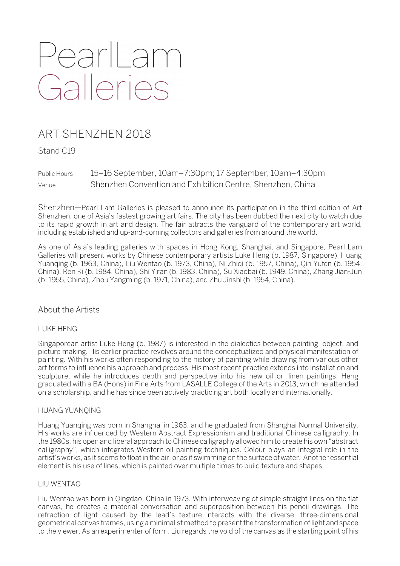# PearlLam<br>Galleries

# ART SHENZHEN 2018

Stand C19

Public Hours 15–16 September, 10am–7:30pm; 17 September, 10am–4:30pm Venue Shenzhen Convention and Exhibition Centre, Shenzhen, China

Shenzhen—Pearl Lam Galleries is pleased to announce its participation in the third edition of Art Shenzhen, one of Asia's fastest growing art fairs. The city has been dubbed the next city to watch due to its rapid growth in art and design. The fair attracts the vanguard of the contemporary art world, including established and up-and-coming collectors and galleries from around the world.

As one of Asia's leading galleries with spaces in Hong Kong, Shanghai, and Singapore, Pearl Lam Galleries will present works by Chinese contemporary artists Luke Heng (b. 1987, Singapore), Huang Yuanqing (b. 1963, China), Liu Wentao (b. 1973, China), Ni Zhiqi (b. 1957, China), Qin Yufen (b. 1954, China), Ren Ri (b. 1984, China), Shi Yiran (b. 1983, China), Su Xiaobai (b. 1949, China), Zhang Jian-Jun (b. 1955, China), Zhou Yangming (b. 1971, China), and Zhu Jinshi (b. 1954, China).

# About the Artists

# LUKE HENG

Singaporean artist Luke Heng (b. 1987) is interested in the dialectics between painting, object, and picture making. His earlier practice revolves around the conceptualized and physical manifestation of painting. With his works often responding to the history of painting while drawing from various other art forms to influence his approach and process. His most recent practice extends into installation and sculpture, while he introduces depth and perspective into his new oil on linen paintings. Heng graduated with a BA (Hons) in Fine Arts from LASALLE College of the Arts in 2013, which he attended on a scholarship, and he has since been actively practicing art both locally and internationally.

# HUANG YUANQING

Huang Yuanqing was born in Shanghai in 1963, and he graduated from Shanghai Normal University. His works are influenced by Western Abstract Expressionism and traditional Chinese calligraphy. In the 1980s, his open and liberal approach to Chinese calligraphy allowed him to create his own "abstract calligraphy", which integrates Western oil painting techniques. Colour plays an integral role in the artist's works, as it seems to float in the air, or as if swimming on the surface of water. Another essential element is his use of lines, which is painted over multiple times to build texture and shapes.

# LIU WENTAO

Liu Wentao was born in Qingdao, China in 1973. With interweaving of simple straight lines on the flat canvas, he creates a material conversation and superposition between his pencil drawings. The refraction of light caused by the lead's texture interacts with the diverse, three-dimensional geometrical canvas frames, using a minimalist method to present the transformation of light and space to the viewer. As an experimenter of form, Liu regards the void of the canvas as the starting point of his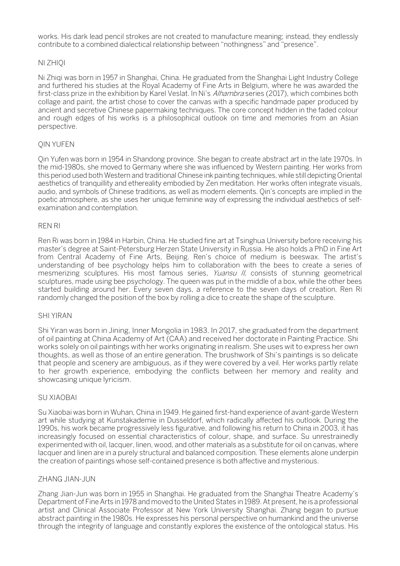works. His dark lead pencil strokes are not created to manufacture meaning; instead, they endlessly contribute to a combined dialectical relationship between "nothingness" and "presence".

# NI ZHIQI

Ni Zhiqi was born in 1957 in Shanghai, China. He graduated from the Shanghai Light Industry College and furthered his studies at the Royal Academy of Fine Arts in Belgium, where he was awarded the first-class prize in the exhibition by Karel Veslat. In Ni's Alhambra series (2017), which combines both collage and paint, the artist chose to cover the canvas with a specific handmade paper produced by ancient and secretive Chinese papermaking techniques. The core concept hidden in the faded colour and rough edges of his works is a philosophical outlook on time and memories from an Asian perspective.

# QIN YUFEN

Qin Yufen was born in 1954 in Shandong province. She began to create abstract art in the late 1970s. In the mid-1980s, she moved to Germany where she was influenced by Western painting. Her works from this period used both Western and traditional Chinese ink painting techniques, while still depicting Oriental aesthetics of tranquillity and ethereality embodied by Zen meditation. Her works often integrate visuals, audio, and symbols of Chinese traditions, as well as modern elements. Qin's concepts are implied in the poetic atmosphere, as she uses her unique feminine way of expressing the individual aesthetics of selfexamination and contemplation.

#### REN RI

Ren Ri was born in 1984 in Harbin, China. He studied fine art at Tsinghua University before receiving his master's degree at Saint-Petersburg Herzen State University in Russia. He also holds a PhD in Fine Art from Central Academy of Fine Arts, Beijing. Ren's choice of medium is beeswax. The artist's understanding of bee psychology helps him to collaboration with the bees to create a series of mesmerizing sculptures. His most famous series, Yuansu II, consists of stunning geometrical sculptures, made using bee psychology. The queen was put in the middle of a box, while the other bees started building around her. Every seven days, a reference to the seven days of creation, Ren Ri randomly changed the position of the box by rolling a dice to create the shape of the sculpture.

#### SHI YIRAN

Shi Yiran was born in Jining, Inner Mongolia in 1983. In 2017, she graduated from the department of oil painting at China Academy of Art (CAA) and received her doctorate in Painting Practice. Shi works solely on oil paintings with her works originating in realism. She uses wit to express her own thoughts, as well as those of an entire generation. The brushwork of Shi's paintings is so delicate that people and scenery are ambiguous, as if they were covered by a veil. Her works partly relate to her growth experience, embodying the conflicts between her memory and reality and showcasing unique lyricism.

#### SU XIAOBAI

Su Xiaobai was born in Wuhan, China in 1949. He gained first-hand experience of avant-garde Western art while studying at Kunstakademie in Dusseldorf, which radically affected his outlook. During the 1990s, his work became progressively less figurative, and following his return to China in 2003, it has increasingly focused on essential characteristics of colour, shape, and surface. Su unrestrainedly experimented with oil, lacquer, linen, wood, and other materials as a substitute for oil on canvas, where lacquer and linen are in a purely structural and balanced composition. These elements alone underpin the creation of paintings whose self-contained presence is both affective and mysterious.

#### ZHANG JIAN-JUN

Zhang Jian-Jun was born in 1955 in Shanghai. He graduated from the Shanghai Theatre Academy's Department of Fine Arts in 1978 and moved to the United States in 1989. At present, he is a professional artist and Clinical Associate Professor at New York University Shanghai. Zhang began to pursue abstract painting in the 1980s. He expresses his personal perspective on humankind and the universe through the integrity of language and constantly explores the existence of the ontological status. His